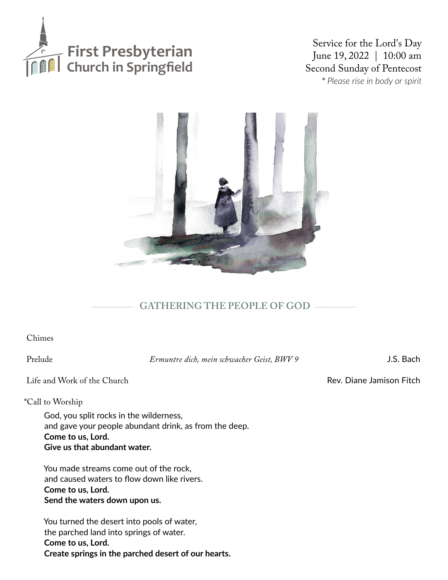

Service for the Lord's Day June 19, 2022 | 10:00 am Second Sunday of Pentecost \* *Please rise in body or spirit*



# **GATHERING THE PEOPLE OF GOD**

Chimes

Prelude *Ermuntre dich, mein schwacher Geist, BWV 9* J.S. Bach

Life and Work of the Church **Rev.** Diane Jamison Fitch

\*Call to Worship

God, you split rocks in the wilderness, and gave your people abundant drink, as from the deep. **Come to us, Lord. Give us that abundant water.**

You made streams come out of the rock, and caused waters to flow down like rivers. **Come to us, Lord. Send the waters down upon us.**

You turned the desert into pools of water, the parched land into springs of water. **Come to us, Lord. Create springs in the parched desert of our hearts.**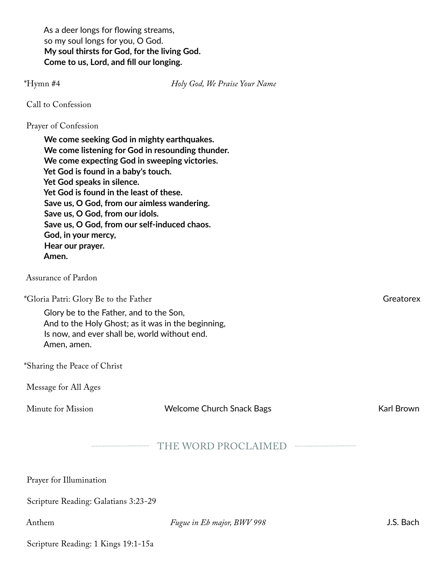As a deer longs for flowing streams, so my soul longs for you, O God. **My soul thirsts for God, for the living God. Come to us, Lord, and fill our longing.** 

\*Hymn #4 *Holy God, We Praise Your Name*

Call to Confession

### Prayer of Confession

**We come seeking God in mighty earthquakes. We come listening for God in resounding thunder. We come expecting God in sweeping victories. Yet God is found in a baby's touch. Yet God speaks in silence. Yet God is found in the least of these. Save us, O God, from our aimless wandering. Save us, O God, from our idols. Save us, O God, from our self-induced chaos. God, in your mercy, Hear our prayer. Amen.** Assurance of Pardon

\*Gloria Patri: Glory Be to the Father Greatorex Greatorex

Glory be to the Father, and to the Son, And to the Holy Ghost; as it was in the beginning, Is now, and ever shall be, world without end. Amen, amen.

\*Sharing the Peace of Christ

Message for All Ages

Minute for Mission **Welcome Church Snack Bags** Karl Brown

### THE WORD PROCLAIMED

Prayer for Illumination

Scripture Reading: Galatians 3:23-29

Anthem *Fugue in Eb major, BWV 998* J.S. Bach

Scripture Reading: 1 Kings 19:1-15a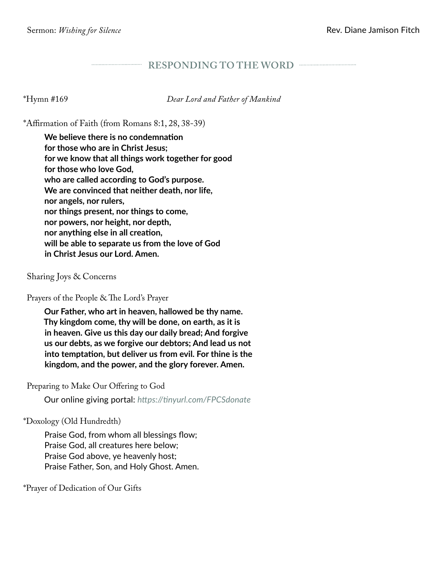### **RESPONDING TO THE WORD**

\*Hymn #169 *Dear Lord and Father of Mankind*

\*Affirmation of Faith (from Romans 8:1, 28, 38-39)

**We believe there is no condemnation for those who are in Christ Jesus; for we know that all things work together for good for those who love God, who are called according to God's purpose. We are convinced that neither death, nor life, nor angels, nor rulers, nor things present, nor things to come, nor powers, nor height, nor depth, nor anything else in all creation, will be able to separate us from the love of God in Christ Jesus our Lord. Amen.**

Sharing Joys & Concerns

Prayers of the People & The Lord's Prayer

**Our Father, who art in heaven, hallowed be thy name. Thy kingdom come, thy will be done, on earth, as it is in heaven. Give us this day our daily bread; And forgive us our debts, as we forgive our debtors; And lead us not into temptation, but deliver us from evil. For thine is the kingdom, and the power, and the glory forever. Amen.** 

Preparing to Make Our Offering to God

Our online giving portal: *https://tinyurl.com/FPCSdonate*

\*Doxology (Old Hundredth)

Praise God, from whom all blessings flow; Praise God, all creatures here below; Praise God above, ye heavenly host; Praise Father, Son, and Holy Ghost. Amen.

\*Prayer of Dedication of Our Gifts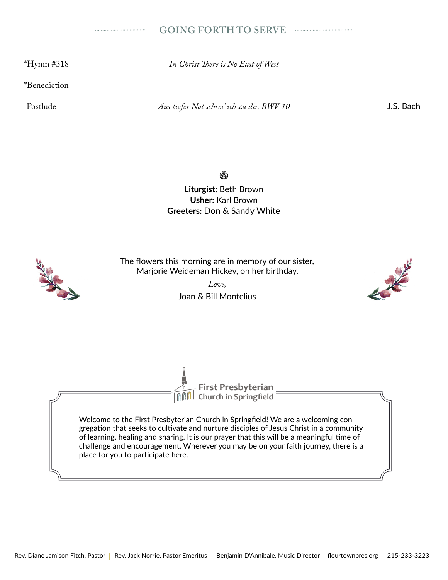### **GOING FORTH TO SERVE**

\*Hymn #318 *In Christ There is No East of West*

\*Benediction

Postlude *Aus tiefer Not schrei' ich zu dir, BWV 10* J.S. Bach

..................................

(W)

**Liturgist:** Beth Brown **Usher:** Karl Brown **Greeters:** Don & Sandy White



The flowers this morning are in memory of our sister, Marjorie Weideman Hickey, on her birthday.

> *Love,* Joan & Bill Montelius



**Church in Springfield First Presbyterian**

Welcome to the First Presbyterian Church in Springfield! We are a welcoming congregation that seeks to cultivate and nurture disciples of Jesus Christ in a community of learning, healing and sharing. It is our prayer that this will be a meaningful time of challenge and encouragement. Wherever you may be on your faith journey, there is a place for you to participate here.